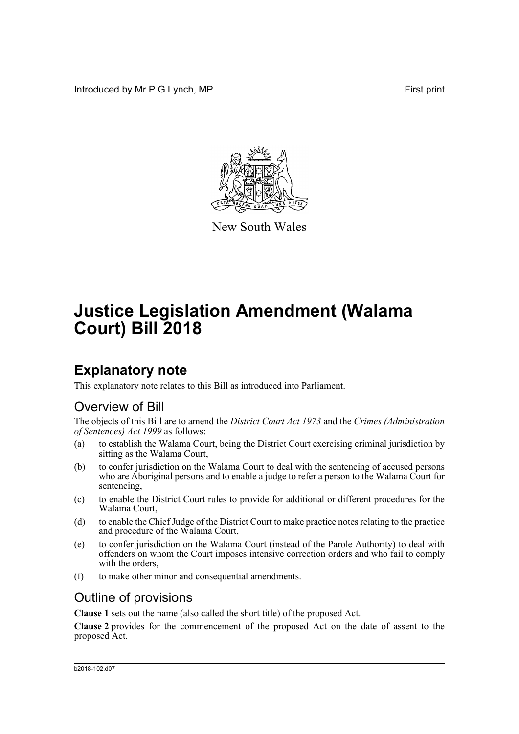Introduced by Mr P G Lynch, MP First print



New South Wales

# **Justice Legislation Amendment (Walama Court) Bill 2018**

## **Explanatory note**

This explanatory note relates to this Bill as introduced into Parliament.

## Overview of Bill

The objects of this Bill are to amend the *District Court Act 1973* and the *Crimes (Administration of Sentences) Act 1999* as follows:

- (a) to establish the Walama Court, being the District Court exercising criminal jurisdiction by sitting as the Walama Court,
- (b) to confer jurisdiction on the Walama Court to deal with the sentencing of accused persons who are Aboriginal persons and to enable a judge to refer a person to the Walama Court for sentencing,
- (c) to enable the District Court rules to provide for additional or different procedures for the Walama Court,
- (d) to enable the Chief Judge of the District Court to make practice notes relating to the practice and procedure of the Walama Court,
- (e) to confer jurisdiction on the Walama Court (instead of the Parole Authority) to deal with offenders on whom the Court imposes intensive correction orders and who fail to comply with the orders,
- (f) to make other minor and consequential amendments.

### Outline of provisions

**Clause 1** sets out the name (also called the short title) of the proposed Act.

**Clause 2** provides for the commencement of the proposed Act on the date of assent to the proposed Act.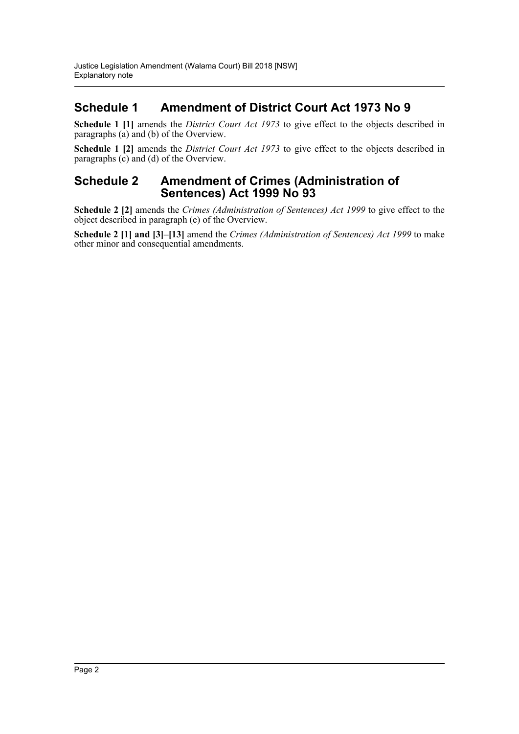### **Schedule 1 Amendment of District Court Act 1973 No 9**

**Schedule 1 [1]** amends the *District Court Act 1973* to give effect to the objects described in paragraphs (a) and (b) of the Overview.

**Schedule 1 [2]** amends the *District Court Act 1973* to give effect to the objects described in paragraphs (c) and (d) of the Overview.

#### **Schedule 2 Amendment of Crimes (Administration of Sentences) Act 1999 No 93**

**Schedule 2 [2]** amends the *Crimes (Administration of Sentences) Act 1999* to give effect to the object described in paragraph (e) of the Overview.

**Schedule 2 [1] and [3]–[13]** amend the *Crimes (Administration of Sentences) Act 1999* to make other minor and consequential amendments.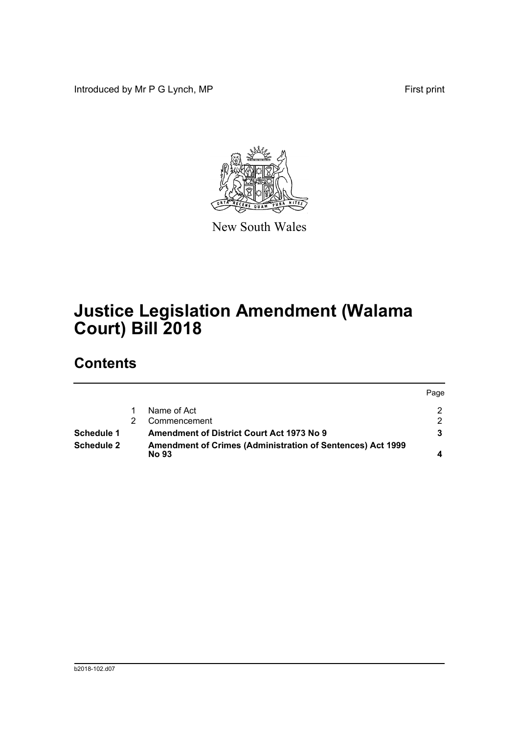Introduced by Mr P G Lynch, MP First print



New South Wales

# **Justice Legislation Amendment (Walama Court) Bill 2018**

## **Contents**

|                   |                                                                            | Page |
|-------------------|----------------------------------------------------------------------------|------|
|                   | Name of Act                                                                |      |
|                   | Commencement                                                               | ◠    |
| Schedule 1        | <b>Amendment of District Court Act 1973 No 9</b>                           |      |
| <b>Schedule 2</b> | Amendment of Crimes (Administration of Sentences) Act 1999<br><b>No 93</b> |      |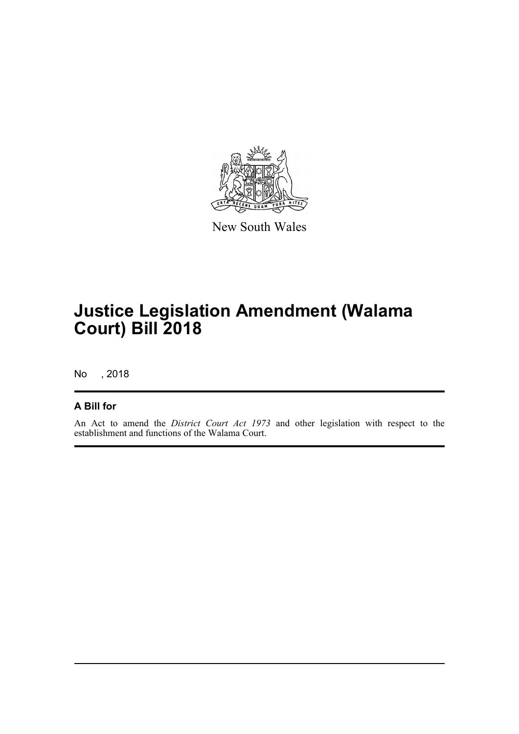

New South Wales

# **Justice Legislation Amendment (Walama Court) Bill 2018**

No , 2018

#### **A Bill for**

An Act to amend the *District Court Act 1973* and other legislation with respect to the establishment and functions of the Walama Court.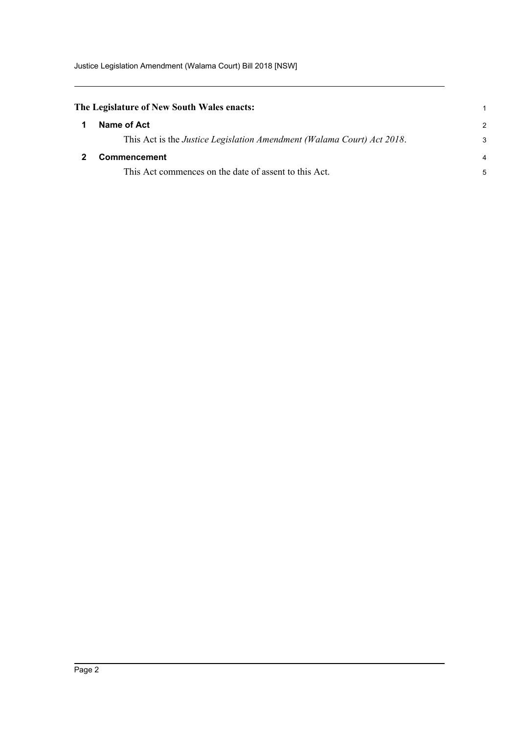Justice Legislation Amendment (Walama Court) Bill 2018 [NSW]

<span id="page-4-1"></span><span id="page-4-0"></span>

| The Legislature of New South Wales enacts: |                                                                                |   |
|--------------------------------------------|--------------------------------------------------------------------------------|---|
|                                            | Name of Act                                                                    | 2 |
|                                            | This Act is the <i>Justice Legislation Amendment (Walama Court) Act 2018</i> . |   |
|                                            | <b>Commencement</b>                                                            |   |
|                                            | This Act commences on the date of assent to this Act.                          |   |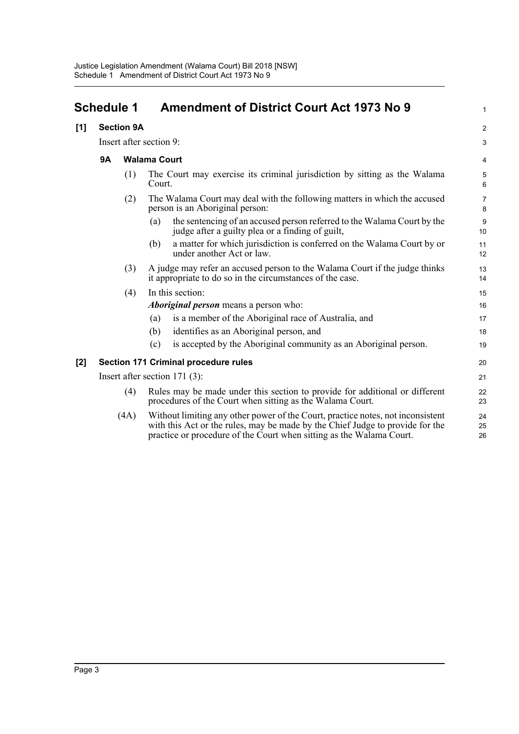<span id="page-5-0"></span>

| <b>Schedule 1</b> |                         |                   | <b>Amendment of District Court Act 1973 No 9</b>                                                                                                                                                                                         |                     |
|-------------------|-------------------------|-------------------|------------------------------------------------------------------------------------------------------------------------------------------------------------------------------------------------------------------------------------------|---------------------|
| [1]               |                         | <b>Section 9A</b> |                                                                                                                                                                                                                                          | 2                   |
|                   | Insert after section 9: |                   |                                                                                                                                                                                                                                          | З                   |
|                   | <b>9A</b>               |                   | <b>Walama Court</b>                                                                                                                                                                                                                      | 4                   |
|                   |                         | (1)               | The Court may exercise its criminal jurisdiction by sitting as the Walama<br>Court.                                                                                                                                                      | $\epsilon$          |
|                   |                         | (2)               | The Walama Court may deal with the following matters in which the accused<br>person is an Aboriginal person:                                                                                                                             | 7<br>ε              |
|                   |                         |                   | the sentencing of an accused person referred to the Walama Court by the<br>(a)<br>judge after a guilty plea or a finding of guilt,                                                                                                       | ς<br>1 <sub>C</sub> |
|                   |                         |                   | a matter for which jurisdiction is conferred on the Walama Court by or<br>(b)<br>under another Act or law.                                                                                                                               | 11<br>12            |
|                   |                         | (3)               | A judge may refer an accused person to the Walama Court if the judge thinks<br>it appropriate to do so in the circumstances of the case.                                                                                                 | 13<br>14            |
|                   |                         | (4)               | In this section:                                                                                                                                                                                                                         | 15                  |
|                   |                         |                   | <i>Aboriginal person</i> means a person who:                                                                                                                                                                                             | 16                  |
|                   |                         |                   | is a member of the Aboriginal race of Australia, and<br>(a)                                                                                                                                                                              | 17                  |
|                   |                         |                   | identifies as an Aboriginal person, and<br>(b)                                                                                                                                                                                           | 18                  |
|                   |                         |                   | is accepted by the Aboriginal community as an Aboriginal person.<br>(c)                                                                                                                                                                  | 1 <sup>c</sup>      |
| [2]               |                         |                   | Section 171 Criminal procedure rules                                                                                                                                                                                                     | 20                  |
|                   |                         |                   | Insert after section $171(3)$ :                                                                                                                                                                                                          | 21                  |
|                   |                         | (4)               | Rules may be made under this section to provide for additional or different<br>procedures of the Court when sitting as the Walama Court.                                                                                                 | 22<br>23            |
|                   |                         | (4A)              | Without limiting any other power of the Court, practice notes, not inconsistent<br>with this Act or the rules, may be made by the Chief Judge to provide for the<br>practice or procedure of the Court when sitting as the Walama Court. | 24<br>25<br>26      |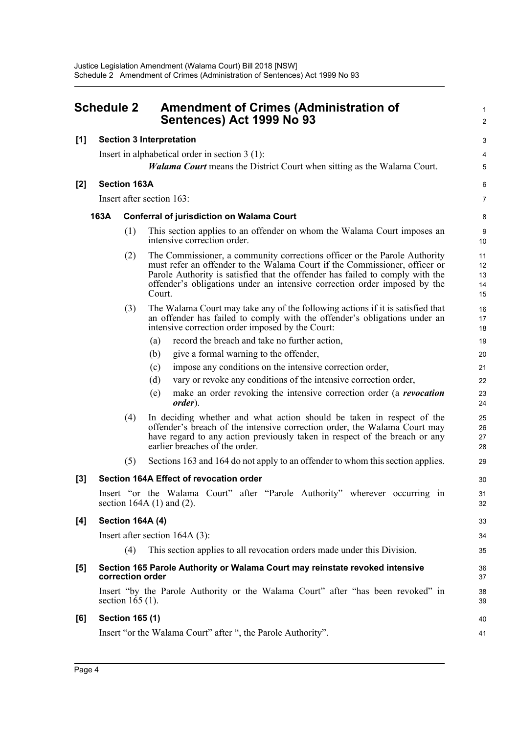<span id="page-6-0"></span>

| <b>Schedule 2</b> |      |                        | <b>Amendment of Crimes (Administration of</b><br>Sentences) Act 1999 No 93                                                                                                                                                                                                                                                      |                            |
|-------------------|------|------------------------|---------------------------------------------------------------------------------------------------------------------------------------------------------------------------------------------------------------------------------------------------------------------------------------------------------------------------------|----------------------------|
| [1]               |      |                        | <b>Section 3 Interpretation</b>                                                                                                                                                                                                                                                                                                 | З                          |
|                   |      |                        | Insert in alphabetical order in section 3 (1):                                                                                                                                                                                                                                                                                  | 4                          |
|                   |      |                        | <b><i>Walama Court</i></b> means the District Court when sitting as the Walama Court.                                                                                                                                                                                                                                           | 5                          |
| $[2]$             |      | <b>Section 163A</b>    |                                                                                                                                                                                                                                                                                                                                 | Е                          |
|                   |      |                        | Insert after section 163:                                                                                                                                                                                                                                                                                                       | 7                          |
|                   | 163A |                        | <b>Conferral of jurisdiction on Walama Court</b>                                                                                                                                                                                                                                                                                |                            |
|                   |      |                        |                                                                                                                                                                                                                                                                                                                                 | ε                          |
|                   |      | (1)                    | This section applies to an offender on whom the Walama Court imposes an<br>intensive correction order.                                                                                                                                                                                                                          | ς<br>10                    |
|                   |      | (2)                    | The Commissioner, a community corrections officer or the Parole Authority<br>must refer an offender to the Walama Court if the Commissioner, officer or<br>Parole Authority is satisfied that the offender has failed to comply with the<br>offender's obligations under an intensive correction order imposed by the<br>Court. | 11<br>12<br>13<br>14<br>15 |
|                   |      | (3)                    | The Walama Court may take any of the following actions if it is satisfied that<br>an offender has failed to comply with the offender's obligations under an<br>intensive correction order imposed by the Court:                                                                                                                 | 16<br>17<br>18             |
|                   |      |                        | record the breach and take no further action,<br>(a)                                                                                                                                                                                                                                                                            | 19                         |
|                   |      |                        | give a formal warning to the offender,<br>(b)                                                                                                                                                                                                                                                                                   | 20                         |
|                   |      |                        | impose any conditions on the intensive correction order,<br>(c)                                                                                                                                                                                                                                                                 | 21                         |
|                   |      |                        | vary or revoke any conditions of the intensive correction order,<br>(d)                                                                                                                                                                                                                                                         | 22                         |
|                   |      |                        | make an order revoking the intensive correction order (a <i>revocation</i><br>(e)<br><i>order</i> ).                                                                                                                                                                                                                            | 23<br>24                   |
|                   |      | (4)                    | In deciding whether and what action should be taken in respect of the<br>offender's breach of the intensive correction order, the Walama Court may<br>have regard to any action previously taken in respect of the breach or any<br>earlier breaches of the order.                                                              | 25<br>26<br>27<br>28       |
|                   |      | (5)                    | Sections 163 and 164 do not apply to an offender to whom this section applies.                                                                                                                                                                                                                                                  | 29                         |
| $[3]$             |      |                        | Section 164A Effect of revocation order                                                                                                                                                                                                                                                                                         | 3 <sub>C</sub>             |
|                   |      |                        | Insert "or the Walama Court" after "Parole Authority" wherever occurring in<br>section 164A $(1)$ and $(2)$ .                                                                                                                                                                                                                   | 31<br>32                   |
| [4]               |      |                        | <b>Section 164A (4)</b>                                                                                                                                                                                                                                                                                                         | 33                         |
|                   |      |                        | Insert after section $164A(3)$ :                                                                                                                                                                                                                                                                                                | 34                         |
|                   |      | (4)                    | This section applies to all revocation orders made under this Division.                                                                                                                                                                                                                                                         | 35                         |
| $[5]$             |      |                        | Section 165 Parole Authority or Walama Court may reinstate revoked intensive<br>correction order                                                                                                                                                                                                                                | 36<br>37                   |
|                   |      | section $165(1)$ .     | Insert "by the Parole Authority or the Walama Court" after "has been revoked" in                                                                                                                                                                                                                                                | 38<br>39                   |
| [6]               |      | <b>Section 165 (1)</b> |                                                                                                                                                                                                                                                                                                                                 | 40                         |
|                   |      |                        | Insert "or the Walama Court" after ", the Parole Authority".                                                                                                                                                                                                                                                                    | 41                         |
|                   |      |                        |                                                                                                                                                                                                                                                                                                                                 |                            |